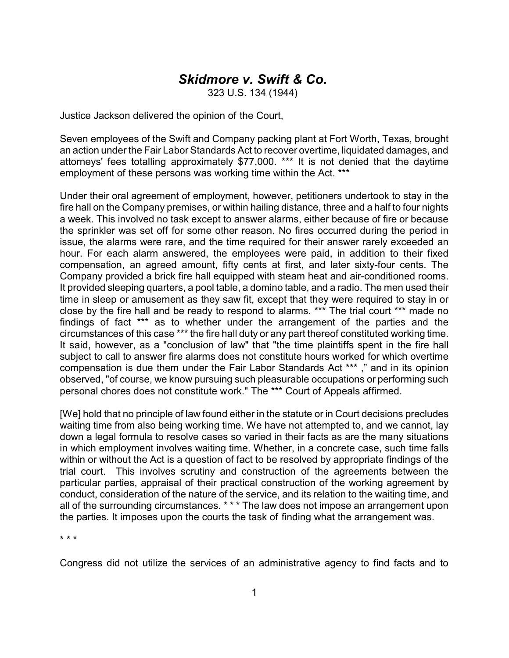## *Skidmore v. Swift & Co.*

323 U.S. 134 (1944)

Justice Jackson delivered the opinion of the Court,

Seven employees of the Swift and Company packing plant at Fort Worth, Texas, brought an action under the Fair Labor Standards Act to recover overtime, liquidated damages, and attorneys' fees totalling approximately \$77,000. \*\*\* It is not denied that the daytime employment of these persons was working time within the Act. \*\*\*

Under their oral agreement of employment, however, petitioners undertook to stay in the fire hall on the Company premises, or within hailing distance, three and a half to four nights a week. This involved no task except to answer alarms, either because of fire or because the sprinkler was set off for some other reason. No fires occurred during the period in issue, the alarms were rare, and the time required for their answer rarely exceeded an hour. For each alarm answered, the employees were paid, in addition to their fixed compensation, an agreed amount, fifty cents at first, and later sixty-four cents. The Company provided a brick fire hall equipped with steam heat and air-conditioned rooms. It provided sleeping quarters, a pool table, a domino table, and a radio. The men used their time in sleep or amusement as they saw fit, except that they were required to stay in or close by the fire hall and be ready to respond to alarms. \*\*\* The trial court \*\*\* made no findings of fact \*\*\* as to whether under the arrangement of the parties and the circumstances of this case \*\*\* the fire hall duty or any part thereof constituted working time. It said, however, as a "conclusion of law" that "the time plaintiffs spent in the fire hall subject to call to answer fire alarms does not constitute hours worked for which overtime compensation is due them under the Fair Labor Standards Act \*\*\* ," and in its opinion observed, "of course, we know pursuing such pleasurable occupations or performing such personal chores does not constitute work." The \*\*\* Court of Appeals affirmed.

[We] hold that no principle of law found either in the statute or in Court decisions precludes waiting time from also being working time. We have not attempted to, and we cannot, lay down a legal formula to resolve cases so varied in their facts as are the many situations in which employment involves waiting time. Whether, in a concrete case, such time falls within or without the Act is a question of fact to be resolved by appropriate findings of the trial court. This involves scrutiny and construction of the agreements between the particular parties, appraisal of their practical construction of the working agreement by conduct, consideration of the nature of the service, and its relation to the waiting time, and all of the surrounding circumstances. \* \* \* The law does not impose an arrangement upon the parties. It imposes upon the courts the task of finding what the arrangement was.

\* \* \*

Congress did not utilize the services of an administrative agency to find facts and to